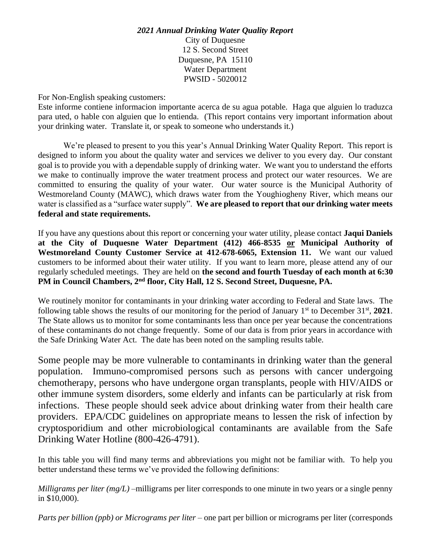## *2021 Annual Drinking Water Quality Report* City of Duquesne 12 S. Second Street Duquesne, PA 15110 Water Department PWSID - 5020012

For Non-English speaking customers:

Este informe contiene informacion importante acerca de su agua potable. Haga que alguien lo traduzca para uted, o hable con alguien que lo entienda. (This report contains very important information about your drinking water. Translate it, or speak to someone who understands it.)

We're pleased to present to you this year's Annual Drinking Water Quality Report. This report is designed to inform you about the quality water and services we deliver to you every day. Our constant goal is to provide you with a dependable supply of drinking water. We want you to understand the efforts we make to continually improve the water treatment process and protect our water resources. We are committed to ensuring the quality of your water. Our water source is the Municipal Authority of Westmoreland County (MAWC), which draws water from the Youghiogheny River, which means our water is classified as a "surface water supply". **We are pleased to report that our drinking water meets federal and state requirements.** 

If you have any questions about this report or concerning your water utility, please contact **Jaqui Daniels at the City of Duquesne Water Department (412) 466-8535 or Municipal Authority of Westmoreland County Customer Service at 412-678-6065, Extension 11.** We want our valued customers to be informed about their water utility. If you want to learn more, please attend any of our regularly scheduled meetings. They are held on **the second and fourth Tuesday of each month at 6:30 PM in Council Chambers, 2nd floor, City Hall, 12 S. Second Street, Duquesne, PA.** 

We routinely monitor for contaminants in your drinking water according to Federal and State laws. The following table shows the results of our monitoring for the period of January 1<sup>st</sup> to December 31<sup>st</sup>, 2021. The State allows us to monitor for some contaminants less than once per year because the concentrations of these contaminants do not change frequently. Some of our data is from prior years in accordance with the Safe Drinking Water Act. The date has been noted on the sampling results table.

Some people may be more vulnerable to contaminants in drinking water than the general population. Immuno-compromised persons such as persons with cancer undergoing chemotherapy, persons who have undergone organ transplants, people with HIV/AIDS or other immune system disorders, some elderly and infants can be particularly at risk from infections. These people should seek advice about drinking water from their health care providers. EPA/CDC guidelines on appropriate means to lessen the risk of infection by cryptosporidium and other microbiological contaminants are available from the Safe Drinking Water Hotline (800-426-4791).

In this table you will find many terms and abbreviations you might not be familiar with. To help you better understand these terms we've provided the following definitions:

*Milligrams per liter (mg/L)* –milligrams per liter corresponds to one minute in two years or a single penny in \$10,000).

*Parts per billion (ppb) or Micrograms per liter* – one part per billion or micrograms per liter (corresponds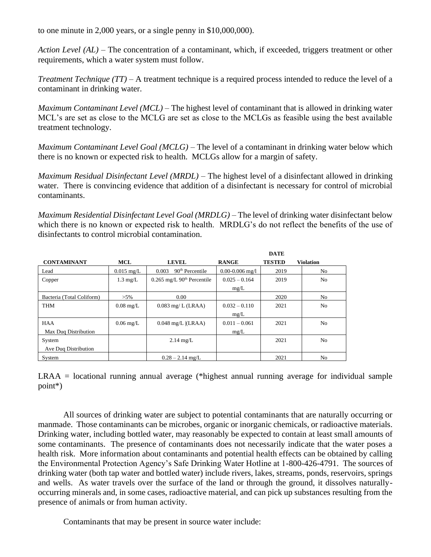to one minute in 2,000 years, or a single penny in \$10,000,000).

*Action Level (AL)* – The concentration of a contaminant, which, if exceeded, triggers treatment or other requirements, which a water system must follow.

*Treatment Technique (TT)* – A treatment technique is a required process intended to reduce the level of a contaminant in drinking water.

*Maximum Contaminant Level (MCL)* – The highest level of contaminant that is allowed in drinking water MCL's are set as close to the MCLG are set as close to the MCLGs as feasible using the best available treatment technology.

*Maximum Contaminant Level Goal (MCLG)* – The level of a contaminant in drinking water below which there is no known or expected risk to health. MCLGs allow for a margin of safety.

*Maximum Residual Disinfectant Level (MRDL)* – The highest level of a disinfectant allowed in drinking water. There is convincing evidence that addition of a disinfectant is necessary for control of microbial contaminants.

*Maximum Residential Disinfectant Level Goal (MRDLG)* – The level of drinking water disinfectant below which there is no known or expected risk to health. MRDLG's do not reflect the benefits of the use of disinfectants to control microbial contamination.

|                           |                     |                                |                     | <b>DATE</b>   |                  |
|---------------------------|---------------------|--------------------------------|---------------------|---------------|------------------|
| <b>CONTAMINANT</b>        | <b>MCL</b>          | <b>LEVEL</b>                   | <b>RANGE</b>        | <b>TESTED</b> | <b>Violation</b> |
| Lead                      | $0.015$ mg/L        | $90th$ Percentile<br>0.003     | $0.00 - 0.006$ mg/l | 2019          | N <sub>o</sub>   |
| Copper                    | $1.3 \text{ mg/L}$  | $0.265$ mg/L $90th$ Percentile | $0.025 - 0.164$     | 2019          | N <sub>o</sub>   |
|                           |                     |                                | mg/L                |               |                  |
| Bacteria (Total Coliform) | $>5\%$              | 0.00                           |                     | 2020          | N <sub>o</sub>   |
| THM                       | $0.08 \text{ mg/L}$ | $0.083$ mg/L (LRAA)            | $0.032 - 0.110$     | 2021          | N <sub>o</sub>   |
|                           |                     |                                | mg/L                |               |                  |
| <b>HAA</b>                | $0.06 \text{ mg/L}$ | $0.048$ mg/L $ $ (LRAA)        | $0.011 - 0.061$     | 2021          | N <sub>o</sub>   |
| Max Dug Distribution      |                     |                                | mg/L                |               |                  |
| System                    |                     | $2.14 \text{ mg/L}$            |                     | 2021          | N <sub>o</sub>   |
| Ave Dug Distribution      |                     |                                |                     |               |                  |
| System                    |                     | $0.28 - 2.14$ mg/L             |                     | 2021          | N <sub>o</sub>   |

LRAA = locational running annual average (\*highest annual running average for individual sample point\*)

All sources of drinking water are subject to potential contaminants that are naturally occurring or manmade. Those contaminants can be microbes, organic or inorganic chemicals, or radioactive materials. Drinking water, including bottled water, may reasonably be expected to contain at least small amounts of some contaminants. The presence of contaminants does not necessarily indicate that the water poses a health risk. More information about contaminants and potential health effects can be obtained by calling the Environmental Protection Agency's Safe Drinking Water Hotline at 1-800-426-4791. The sources of drinking water (both tap water and bottled water) include rivers, lakes, streams, ponds, reservoirs, springs and wells. As water travels over the surface of the land or through the ground, it dissolves naturallyoccurring minerals and, in some cases, radioactive material, and can pick up substances resulting from the presence of animals or from human activity.

Contaminants that may be present in source water include: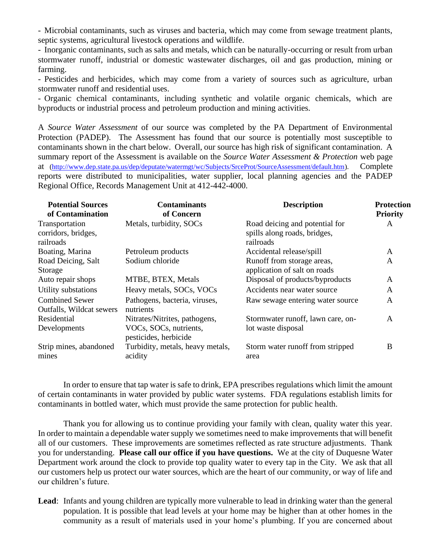- Microbial contaminants, such as viruses and bacteria, which may come from sewage treatment plants, septic systems, agricultural livestock operations and wildlife.

- Inorganic contaminants, such as salts and metals, which can be naturally-occurring or result from urban stormwater runoff, industrial or domestic wastewater discharges, oil and gas production, mining or farming.

- Pesticides and herbicides, which may come from a variety of sources such as agriculture, urban stormwater runoff and residential uses.

- Organic chemical contaminants, including synthetic and volatile organic chemicals, which are byproducts or industrial process and petroleum production and mining activities.

A *Source Water Assessment* of our source was completed by the PA Department of Environmental Protection (PADEP). The Assessment has found that our source is potentially most susceptible to contaminants shown in the chart below. Overall, our source has high risk of significant contamination. A summary report of the Assessment is available on the *Source Water Assessment & Protection* web page at [\(http://www.dep.state.pa.us/dep/deputate/watermgt/wc/Subjects/SrceProt/SourceAssessment/default.htm\)](http://www.dep.state.pa.us/dep/deputate/watermgt/wc/Subjects/SrceProt/SourceAssessment/default.htm). Complete reports were distributed to municipalities, water supplier, local planning agencies and the PADEP Regional Office, Records Management Unit at 412-442-4000.

| <b>Potential Sources</b><br>of Contamination       | <b>Contaminants</b><br>of Concern               | <b>Description</b>                                                          | <b>Protection</b><br><b>Priority</b> |
|----------------------------------------------------|-------------------------------------------------|-----------------------------------------------------------------------------|--------------------------------------|
| Transportation<br>corridors, bridges,<br>railroads | Metals, turbidity, SOCs                         | Road deicing and potential for<br>spills along roads, bridges,<br>railroads | A                                    |
| Boating, Marina                                    | Petroleum products                              | Accidental release/spill                                                    | A                                    |
| Road Deicing, Salt<br>Storage                      | Sodium chloride                                 | Runoff from storage areas,<br>application of salt on roads                  | $\mathbf{A}$                         |
| Auto repair shops                                  | MTBE, BTEX, Metals                              | Disposal of products/byproducts                                             | A                                    |
| Utility substations                                | Heavy metals, SOCs, VOCs                        | Accidents near water source                                                 | $\mathbf{A}$                         |
| <b>Combined Sewer</b><br>Outfalls, Wildcat sewers  | Pathogens, bacteria, viruses,<br>nutrients      | Raw sewage entering water source                                            | $\mathbf{A}$                         |
| Residential                                        | Nitrates/Nitrites, pathogens,                   | Stormwater runoff, lawn care, on-                                           | A                                    |
| Developments                                       | VOCs, SOCs, nutrients,<br>pesticides, herbicide | lot waste disposal                                                          |                                      |
| Strip mines, abandoned<br>mines                    | Turbidity, metals, heavy metals,<br>acidity     | Storm water runoff from stripped<br>area                                    | B                                    |

In order to ensure that tap water is safe to drink, EPA prescribes regulations which limit the amount of certain contaminants in water provided by public water systems. FDA regulations establish limits for contaminants in bottled water, which must provide the same protection for public health.

Thank you for allowing us to continue providing your family with clean, quality water this year. In order to maintain a dependable water supply we sometimes need to make improvements that will benefit all of our customers. These improvements are sometimes reflected as rate structure adjustments. Thank you for understanding. **Please call our office if you have questions.** We at the city of Duquesne Water Department work around the clock to provide top quality water to every tap in the City. We ask that all our customers help us protect our water sources, which are the heart of our community, or way of life and our children's future.

**Lead**: Infants and young children are typically more vulnerable to lead in drinking water than the general population. It is possible that lead levels at your home may be higher than at other homes in the community as a result of materials used in your home's plumbing. If you are concerned about